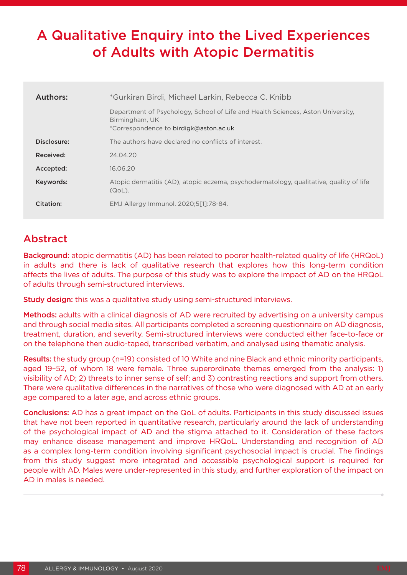# A Qualitative Enquiry into the Lived Experiences of Adults with Atopic Dermatitis

| Authors:    | *Gurkiran Birdi, Michael Larkin, Rebecca C. Knibb                                                                                           |  |  |  |  |
|-------------|---------------------------------------------------------------------------------------------------------------------------------------------|--|--|--|--|
|             | Department of Psychology, School of Life and Health Sciences, Aston University,<br>Birmingham, UK<br>*Correspondence to birdigk@aston.ac.uk |  |  |  |  |
| Disclosure: | The authors have declared no conflicts of interest.                                                                                         |  |  |  |  |
| Received:   | 24.04.20                                                                                                                                    |  |  |  |  |
| Accepted:   | 16.06.20                                                                                                                                    |  |  |  |  |
| Keywords:   | Atopic dermatitis (AD), atopic eczema, psychodermatology, qualitative, quality of life<br>$(QoL)$ .                                         |  |  |  |  |
| Citation:   | EMJ Allergy Immunol. 2020;5[1]:78-84.                                                                                                       |  |  |  |  |

## Abstract

Background: atopic dermatitis (AD) has been related to poorer health-related quality of life (HRQoL) in adults and there is lack of qualitative research that explores how this long-term condition affects the lives of adults. The purpose of this study was to explore the impact of AD on the HRQoL of adults through semi-structured interviews.

Study design: this was a qualitative study using semi-structured interviews.

Methods: adults with a clinical diagnosis of AD were recruited by advertising on a university campus and through social media sites. All participants completed a screening questionnaire on AD diagnosis, treatment, duration, and severity. Semi-structured interviews were conducted either face-to-face or on the telephone then audio-taped, transcribed verbatim, and analysed using thematic analysis.

Results: the study group (n=19) consisted of 10 White and nine Black and ethnic minority participants, aged 19–52, of whom 18 were female. Three superordinate themes emerged from the analysis: 1) visibility of AD; 2) threats to inner sense of self; and 3) contrasting reactions and support from others. There were qualitative differences in the narratives of those who were diagnosed with AD at an early age compared to a later age, and across ethnic groups.

Conclusions: AD has a great impact on the QoL of adults. Participants in this study discussed issues that have not been reported in quantitative research, particularly around the lack of understanding of the psychological impact of AD and the stigma attached to it. Consideration of these factors may enhance disease management and improve HRQoL. Understanding and recognition of AD as a complex long-term condition involving significant psychosocial impact is crucial. The findings from this study suggest more integrated and accessible psychological support is required for people with AD. Males were under-represented in this study, and further exploration of the impact on AD in males is needed.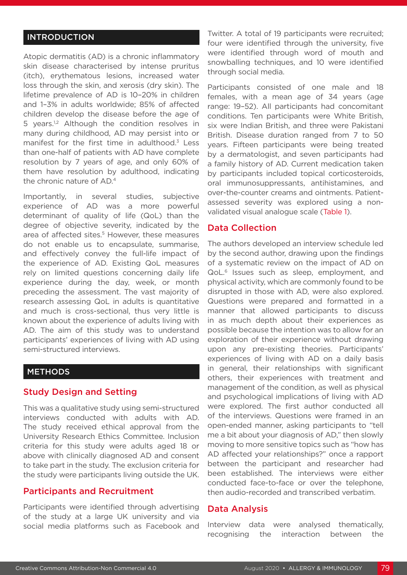### INTRODUCTION

Atopic dermatitis (AD) is a chronic inflammatory skin disease characterised by intense pruritus (itch), erythematous lesions, increased water loss through the skin, and xerosis (dry skin). The lifetime prevalence of AD is 10–20% in children and 1–3% in adults worldwide; 85% of affected children develop the disease before the age of 5 years.<sup>1,2</sup> Although the condition resolves in many during childhood, AD may persist into or manifest for the first time in adulthood. $3$  Less than one-half of patients with AD have complete resolution by 7 years of age, and only 60% of them have resolution by adulthood, indicating the chronic nature of AD.4

Importantly, in several studies, subjective experience of AD was a more powerful determinant of quality of life (QoL) than the degree of objective severity, indicated by the area of affected sites.<sup>5</sup> However, these measures do not enable us to encapsulate, summarise, and effectively convey the full-life impact of the experience of AD. Existing QoL measures rely on limited questions concerning daily life experience during the day, week, or month preceding the assessment. The vast majority of research assessing QoL in adults is quantitative and much is cross-sectional, thus very little is known about the experience of adults living with AD. The aim of this study was to understand participants' experiences of living with AD using semi-structured interviews.

### METHODS

#### Study Design and Setting

This was a qualitative study using semi-structured interviews conducted with adults with AD. The study received ethical approval from the University Research Ethics Committee. Inclusion criteria for this study were adults aged 18 or above with clinically diagnosed AD and consent to take part in the study. The exclusion criteria for the study were participants living outside the UK.

#### Participants and Recruitment

Participants were identified through advertising of the study at a large UK university and via social media platforms such as Facebook and Twitter. A total of 19 participants were recruited; four were identified through the university, five were identified through word of mouth and snowballing techniques, and 10 were identified through social media.

Participants consisted of one male and 18 females, with a mean age of 34 years (age range: 19–52). All participants had concomitant conditions. Ten participants were White British, six were Indian British, and three were Pakistani British. Disease duration ranged from 7 to 50 years. Fifteen participants were being treated by a dermatologist, and seven participants had a family history of AD. Current medication taken by participants included topical corticosteroids, oral immunosuppressants, antihistamines, and over-the-counter creams and ointments. Patientassessed severity was explored using a nonvalidated visual analogue scale (Table 1).

### Data Collection

The authors developed an interview schedule led by the second author, drawing upon the findings of a systematic review on the impact of AD on QoL.6 Issues such as sleep, employment, and physical activity, which are commonly found to be disrupted in those with AD, were also explored. Questions were prepared and formatted in a manner that allowed participants to discuss in as much depth about their experiences as possible because the intention was to allow for an exploration of their experience without drawing upon any pre-existing theories. Participants' experiences of living with AD on a daily basis in general, their relationships with significant others, their experiences with treatment and management of the condition, as well as physical and psychological implications of living with AD were explored. The first author conducted all of the interviews. Questions were framed in an open-ended manner, asking participants to "tell me a bit about your diagnosis of AD," then slowly moving to more sensitive topics such as "how has AD affected your relationships?" once a rapport between the participant and researcher had been established. The interviews were either conducted face-to-face or over the telephone, then audio-recorded and transcribed verbatim.

#### Data Analysis

Interview data were analysed thematically, recognising the interaction between the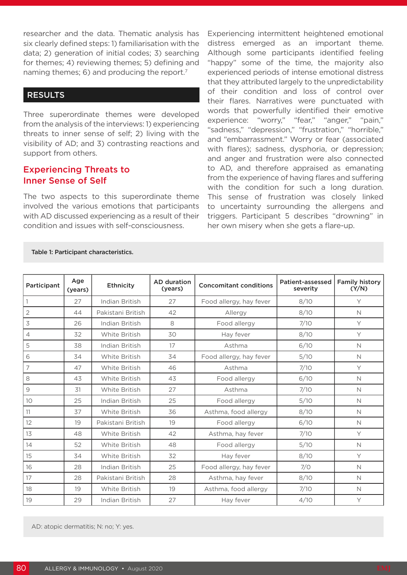researcher and the data. Thematic analysis has six clearly defined steps: 1) familiarisation with the data; 2) generation of initial codes; 3) searching for themes; 4) reviewing themes; 5) defining and naming themes; 6) and producing the report.<sup>7</sup>

### RESULTS

Three superordinate themes were developed from the analysis of the interviews: 1) experiencing threats to inner sense of self; 2) living with the visibility of AD; and 3) contrasting reactions and support from others.

### Experiencing Threats to Inner Sense of Self

The two aspects to this superordinate theme involved the various emotions that participants with AD discussed experiencing as a result of their condition and issues with self-consciousness.

Experiencing intermittent heightened emotional distress emerged as an important theme. Although some participants identified feeling "happy" some of the time, the majority also experienced periods of intense emotional distress that they attributed largely to the unpredictability of their condition and loss of control over their flares. Narratives were punctuated with words that powerfully identified their emotive experience: "worry," "fear," "anger," "pain," "sadness," "depression," "frustration," "horrible," and "embarrassment." Worry or fear (associated with flares); sadness, dysphoria, or depression; and anger and frustration were also connected to AD, and therefore appraised as emanating from the experience of having flares and suffering with the condition for such a long duration. This sense of frustration was closely linked to uncertainty surrounding the allergens and triggers. Participant 5 describes "drowning" in her own misery when she gets a flare-up.

| Participant                                               | Age<br>(years) | <b>Ethnicity</b>  | <b>AD</b> duration<br>(years) | <b>Concomitant conditions</b> | Patient-assessed<br>severity | <b>Family history</b><br>(Y/N) |
|-----------------------------------------------------------|----------------|-------------------|-------------------------------|-------------------------------|------------------------------|--------------------------------|
|                                                           | 27             | Indian British    | 27                            | Food allergy, hay fever       | 8/10                         | Υ                              |
| $\overline{2}$                                            | 44             | Pakistani British | 42                            | Allergy                       | 8/10                         | N                              |
| 3                                                         | 26             | Indian British    | 8                             | Food allergy                  | 7/10                         | Y                              |
| $\overline{4}$                                            | 32             | White British     | 30                            | Hay fever                     | 8/10                         | Y                              |
| 5                                                         | 38             | Indian British    | 17                            | Asthma                        | 6/10                         | N                              |
| 6                                                         | 34             | White British     | 34                            | Food allergy, hay fever       | 5/10                         | N                              |
| $\overline{7}$                                            | 47             | White British     | 46                            | Asthma                        | 7/10                         | Y                              |
| 8                                                         | 43             | White British     | 43                            | Food allergy                  | 6/10                         | $\mathsf{N}$                   |
| $\mathcal{G}% _{M_{1},M_{2}}^{\alpha,\beta}(\mathcal{A})$ | 31             | White British     | 27                            | Asthma                        | 7/10                         | N                              |
| 10                                                        | 25             | Indian British    | 25                            | Food allergy                  | 5/10                         | N                              |
| 11                                                        | 37             | White British     | 36                            | Asthma, food allergy          | 8/10                         | N                              |
| 12                                                        | 19             | Pakistani British | 19                            | Food allergy                  | 6/10                         | $\mathsf{N}$                   |
| 13                                                        | 48             | White British     | 42                            | Asthma, hay fever             | 7/10                         | Y                              |
| 14                                                        | 52             | White British     | 48                            | Food allergy                  | 5/10                         | N                              |
| 15                                                        | 34             | White British     | 32                            | Hay fever                     | 8/10                         | Y                              |
| 16                                                        | 28             | Indian British    | 25                            | Food allergy, hay fever       | 7/0                          | $\mathsf{N}$                   |
| 17                                                        | 28             | Pakistani British | 28                            | Asthma, hay fever             | 8/10                         | N                              |
| 18                                                        | 19             | White British     | 19                            | Asthma, food allergy          | 7/10                         | N                              |
| 19                                                        | 29             | Indian British    | 27                            | Hay fever                     | 4/10                         | Y                              |

Table 1: Participant characteristics.

AD: atopic dermatitis; N: no; Y: yes.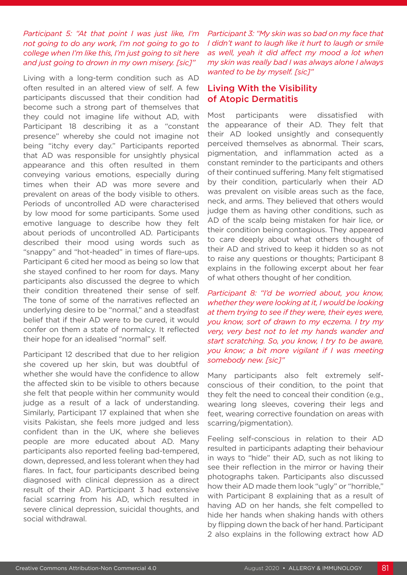### *Participant 5: "At that point I was just like, I'm not going to do any work, I'm not going to go to college when I'm like this, I'm just going to sit here and just going to drown in my own misery. [sic]"*

Living with a long-term condition such as AD often resulted in an altered view of self. A few participants discussed that their condition had become such a strong part of themselves that they could not imagine life without AD, with Participant 18 describing it as a "constant presence" whereby she could not imagine not being "itchy every day." Participants reported that AD was responsible for unsightly physical appearance and this often resulted in them conveying various emotions, especially during times when their AD was more severe and prevalent on areas of the body visible to others. Periods of uncontrolled AD were characterised by low mood for some participants. Some used emotive language to describe how they felt about periods of uncontrolled AD. Participants described their mood using words such as "snappy" and "hot-headed" in times of flare-ups. Participant 6 cited her mood as being so low that she stayed confined to her room for days. Many participants also discussed the degree to which their condition threatened their sense of self. The tone of some of the narratives reflected an underlying desire to be "normal," and a steadfast belief that if their AD were to be cured, it would confer on them a state of normalcy. It reflected their hope for an idealised "normal" self.

Participant 12 described that due to her religion she covered up her skin, but was doubtful of whether she would have the confidence to allow the affected skin to be visible to others because she felt that people within her community would judge as a result of a lack of understanding. Similarly, Participant 17 explained that when she visits Pakistan, she feels more judged and less confident than in the UK, where she believes people are more educated about AD. Many participants also reported feeling bad-tempered, down, depressed, and less tolerant when they had flares. In fact, four participants described being diagnosed with clinical depression as a direct result of their AD. Participant 3 had extensive facial scarring from his AD, which resulted in severe clinical depression, suicidal thoughts, and social withdrawal.

*Participant 3: "My skin was so bad on my face that I didn't want to laugh like it hurt to laugh or smile as well, yeah it did affect my mood a lot when my skin was really bad I was always alone I always wanted to be by myself. [sic]"*

### Living With the Visibility of Atopic Dermatitis

Most participants were dissatisfied with the appearance of their AD. They felt that their AD looked unsightly and consequently perceived themselves as abnormal. Their scars, pigmentation, and inflammation acted as a constant reminder to the participants and others of their continued suffering. Many felt stigmatised by their condition, particularly when their AD was prevalent on visible areas such as the face, neck, and arms. They believed that others would judge them as having other conditions, such as AD of the scalp being mistaken for hair lice, or their condition being contagious. They appeared to care deeply about what others thought of their AD and strived to keep it hidden so as not to raise any questions or thoughts; Participant 8 explains in the following excerpt about her fear of what others thought of her condition.

*Participant 8: "I'd be worried about, you know, whether they were looking at it, I would be looking at them trying to see if they were, their eyes were, you know, sort of drawn to my eczema. I try my very, very best not to let my hands wander and start scratching. So, you know, I try to be aware, you know; a bit more vigilant if I was meeting somebody new. [sic]"*

Many participants also felt extremely selfconscious of their condition, to the point that they felt the need to conceal their condition (e.g., wearing long sleeves, covering their legs and feet, wearing corrective foundation on areas with scarring/pigmentation).

Feeling self-conscious in relation to their AD resulted in participants adapting their behaviour in ways to "hide" their AD, such as not liking to see their reflection in the mirror or having their photographs taken. Participants also discussed how their AD made them look "ugly" or "horrible," with Participant 8 explaining that as a result of having AD on her hands, she felt compelled to hide her hands when shaking hands with others by flipping down the back of her hand. Participant 2 also explains in the following extract how AD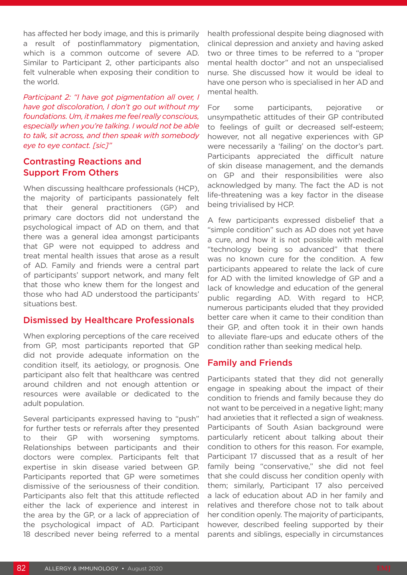has affected her body image, and this is primarily a result of postinflammatory pigmentation, which is a common outcome of severe AD. Similar to Participant 2, other participants also felt vulnerable when exposing their condition to the world.

*Participant 2: "I have got pigmentation all over, I have got discoloration, I don't go out without my foundations. Um, it makes me feel really conscious, especially when you're talking. I would not be able to talk, sit across, and then speak with somebody eye to eye contact. [sic]"*

### Contrasting Reactions and Support From Others

When discussing healthcare professionals (HCP), the majority of participants passionately felt that their general practitioners (GP) and primary care doctors did not understand the psychological impact of AD on them, and that there was a general idea amongst participants that GP were not equipped to address and treat mental health issues that arose as a result of AD. Family and friends were a central part of participants' support network, and many felt that those who knew them for the longest and those who had AD understood the participants' situations best.

### Dismissed by Healthcare Professionals

When exploring perceptions of the care received from GP, most participants reported that GP did not provide adequate information on the condition itself, its aetiology, or prognosis. One participant also felt that healthcare was centred around children and not enough attention or resources were available or dedicated to the adult population.

Several participants expressed having to "push" for further tests or referrals after they presented to their GP with worsening symptoms. Relationships between participants and their doctors were complex. Participants felt that expertise in skin disease varied between GP. Participants reported that GP were sometimes dismissive of the seriousness of their condition. Participants also felt that this attitude reflected either the lack of experience and interest in the area by the GP, or a lack of appreciation of the psychological impact of AD. Participant 18 described never being referred to a mental

health professional despite being diagnosed with clinical depression and anxiety and having asked two or three times to be referred to a "proper mental health doctor" and not an unspecialised nurse. She discussed how it would be ideal to have one person who is specialised in her AD and mental health.

For some participants, pejorative or unsympathetic attitudes of their GP contributed to feelings of guilt or decreased self-esteem; however, not all negative experiences with GP were necessarily a 'failing' on the doctor's part. Participants appreciated the difficult nature of skin disease management, and the demands on GP and their responsibilities were also acknowledged by many. The fact the AD is not life-threatening was a key factor in the disease being trivialised by HCP.

A few participants expressed disbelief that a "simple condition" such as AD does not yet have a cure, and how it is not possible with medical "technology being so advanced" that there was no known cure for the condition. A few participants appeared to relate the lack of cure for AD with the limited knowledge of GP and a lack of knowledge and education of the general public regarding AD. With regard to HCP, numerous participants eluded that they provided better care when it came to their condition than their GP, and often took it in their own hands to alleviate flare-ups and educate others of the condition rather than seeking medical help.

### Family and Friends

Participants stated that they did not generally engage in speaking about the impact of their condition to friends and family because they do not want to be perceived in a negative light; many had anxieties that it reflected a sign of weakness. Participants of South Asian background were particularly reticent about talking about their condition to others for this reason. For example, Participant 17 discussed that as a result of her family being "conservative," she did not feel that she could discuss her condition openly with them; similarly, Participant 17 also perceived a lack of education about AD in her family and relatives and therefore chose not to talk about her condition openly. The majority of participants, however, described feeling supported by their parents and siblings, especially in circumstances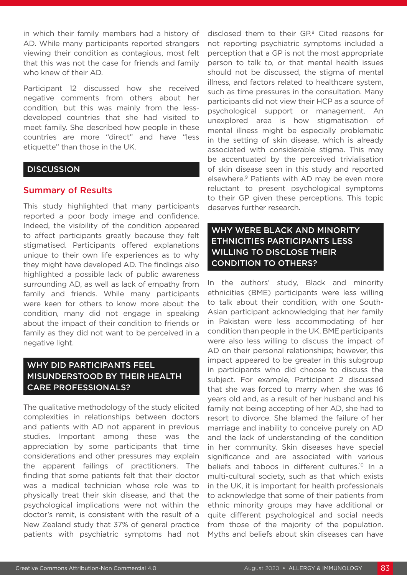in which their family members had a history of AD. While many participants reported strangers viewing their condition as contagious, most felt that this was not the case for friends and family who knew of their AD.

Participant 12 discussed how she received negative comments from others about her condition, but this was mainly from the lessdeveloped countries that she had visited to meet family. She described how people in these countries are more "direct" and have "less etiquette" than those in the UK.

### **DISCUSSION**

### Summary of Results

This study highlighted that many participants reported a poor body image and confidence. Indeed, the visibility of the condition appeared to affect participants greatly because they felt stigmatised. Participants offered explanations unique to their own life experiences as to why they might have developed AD. The findings also highlighted a possible lack of public awareness surrounding AD, as well as lack of empathy from family and friends. While many participants were keen for others to know more about the condition, many did not engage in speaking about the impact of their condition to friends or family as they did not want to be perceived in a negative light.

### WHY DID PARTICIPANTS FEEL MISUNDERSTOOD BY THEIR HEALTH CARE PROFESSIONALS?

The qualitative methodology of the study elicited complexities in relationships between doctors and patients with AD not apparent in previous studies. Important among these was the appreciation by some participants that time considerations and other pressures may explain the apparent failings of practitioners. The finding that some patients felt that their doctor was a medical technician whose role was to physically treat their skin disease, and that the psychological implications were not within the doctor's remit, is consistent with the result of a New Zealand study that 37% of general practice patients with psychiatric symptoms had not

disclosed them to their GP.<sup>8</sup> Cited reasons for not reporting psychiatric symptoms included a perception that a GP is not the most appropriate person to talk to, or that mental health issues should not be discussed, the stigma of mental illness, and factors related to healthcare system, such as time pressures in the consultation. Many participants did not view their HCP as a source of psychological support or management. An unexplored area is how stigmatisation of mental illness might be especially problematic in the setting of skin disease, which is already associated with considerable stigma. This may be accentuated by the perceived trivialisation of skin disease seen in this study and reported elsewhere.9 Patients with AD may be even more reluctant to present psychological symptoms to their GP given these perceptions. This topic deserves further research.

### WHY WERE BLACK AND MINORITY ETHNICITIES PARTICIPANTS LESS WILLING TO DISCLOSE THEIR CONDITION TO OTHERS?

In the authors' study, Black and minority ethnicities (BME) participants were less willing to talk about their condition, with one South-Asian participant acknowledging that her family in Pakistan were less accommodating of her condition than people in the UK. BME participants were also less willing to discuss the impact of AD on their personal relationships; however, this impact appeared to be greater in this subgroup in participants who did choose to discuss the subject. For example, Participant 2 discussed that she was forced to marry when she was 16 years old and, as a result of her husband and his family not being accepting of her AD, she had to resort to divorce. She blamed the failure of her marriage and inability to conceive purely on AD and the lack of understanding of the condition in her community. Skin diseases have special significance and are associated with various beliefs and taboos in different cultures.<sup>10</sup> In a multi-cultural society, such as that which exists in the UK, it is important for health professionals to acknowledge that some of their patients from ethnic minority groups may have additional or quite different psychological and social needs from those of the majority of the population. Myths and beliefs about skin diseases can have